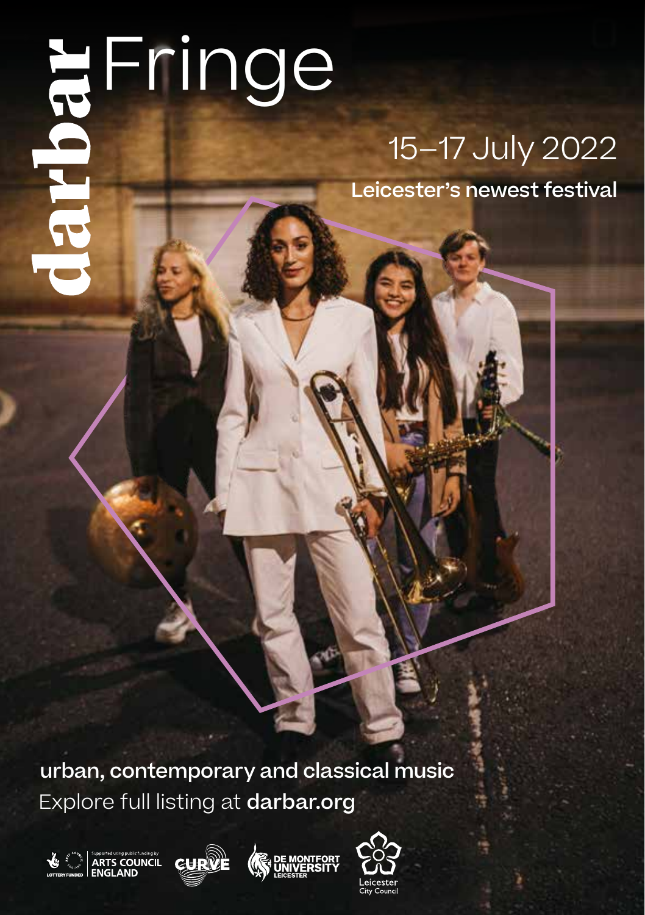# Fringe

## 15–17 July 2022

Leicester's newest festival

Explore full listing at darbar.org urban, contemporary and classical music







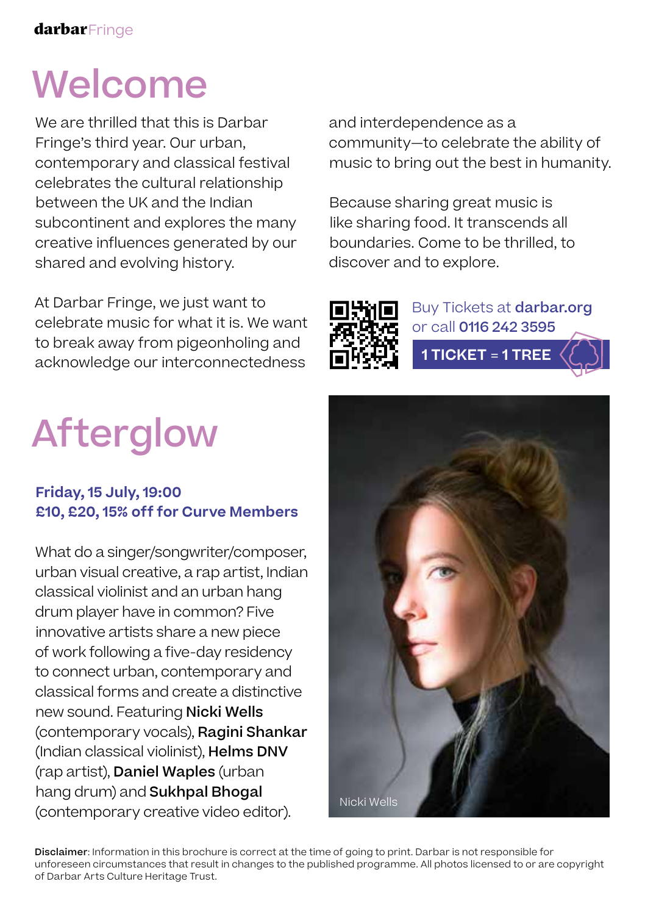## Welcome

We are thrilled that this is Darbar Fringe's third year. Our urban, contemporary and classical festival celebrates the cultural relationship between the UK and the Indian subcontinent and explores the many creative influences generated by our shared and evolving history.

At Darbar Fringe, we just want to celebrate music for what it is. We want to break away from pigeonholing and acknowledge our interconnectedness

# Afterglow

#### **Friday, 15 July, 19:00 £10, £20, 15% off for Curve Members**

What do a singer/songwriter/composer, urban visual creative, a rap artist, Indian classical violinist and an urban hang drum player have in common? Five innovative artists share a new piece of work following a five-day residency to connect urban, contemporary and classical forms and create a distinctive new sound. Featuring Nicki Wells (contemporary vocals), Ragini Shankar (Indian classical violinist), Helms DNV (rap artist), Daniel Waples (urban hang drum) and Sukhpal Bhogal (contemporary creative video editor).

and interdependence as a community—to celebrate the ability of music to bring out the best in humanity.

Because sharing great music is like sharing food. It transcends all boundaries. Come to be thrilled, to discover and to explore.



Buy Tickets at darbar.org or call 0116 242 3595 **1 TICKET** = **1 TREE**



Disclaimer: Information in this brochure is correct at the time of going to print. Darbar is not responsible for unforeseen circumstances that result in changes to the published programme. All photos licensed to or are copyright of Darbar Arts Culture Heritage Trust.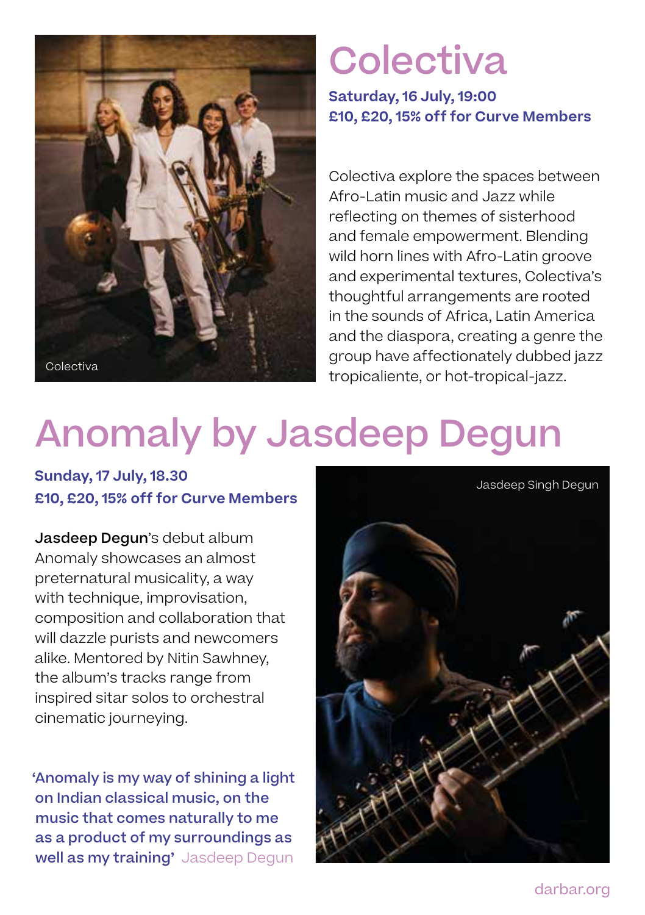

## **Colectiva**

**Saturday, 16 July, 19:00 £10, £20, 15% off for Curve Members**

Colectiva explore the spaces between Afro-Latin music and Jazz while reflecting on themes of sisterhood and female empowerment. Blending wild horn lines with Afro-Latin groove and experimental textures, Colectiva's thoughtful arrangements are rooted in the sounds of Africa, Latin America and the diaspora, creating a genre the group have affectionately dubbed jazz tropicaliente, or hot-tropical-jazz.

## Anomaly by Jasdeep Degun

#### **Sunday, 17 July, 18.30 £10, £20, 15% off for Curve Members**

Jasdeep Degun's debut album Anomaly showcases an almost preternatural musicality, a way with technique, improvisation, composition and collaboration that will dazzle purists and newcomers alike. Mentored by Nitin Sawhney, the album's tracks range from inspired sitar solos to orchestral cinematic journeying.

'Anomaly is my way of shining a light on Indian classical music, on the music that comes naturally to me as a product of my surroundings as well as my training' Jasdeep Degun



darbar.org